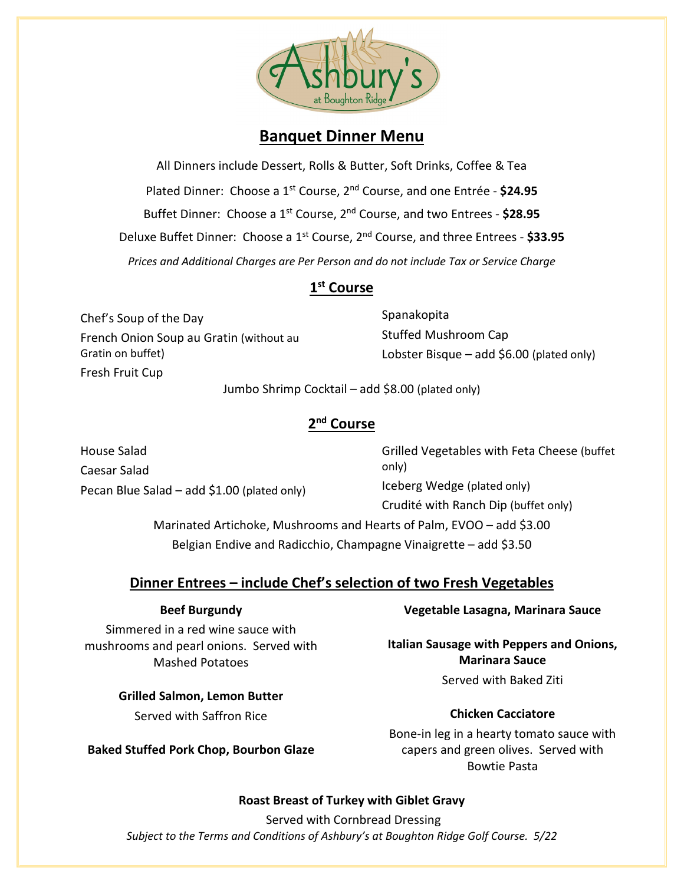

# **Banquet Dinner Menu**

All Dinners include Dessert, Rolls & Butter, Soft Drinks, Coffee & Tea Plated Dinner: Choose a 1st Course, 2nd Course, and one Entrée - **\$24.95** Buffet Dinner: Choose a 1st Course, 2nd Course, and two Entrees - **\$28.95** Deluxe Buffet Dinner: Choose a 1st Course, 2nd Course, and three Entrees - **\$33.95** *Prices and Additional Charges are Per Person and do not include Tax or Service Charge*

# **1st Course**

Chef's Soup of the Day French Onion Soup au Gratin (without au Gratin on buffet) Fresh Fruit Cup

Spanakopita Stuffed Mushroom Cap Lobster Bisque – add \$6.00 (plated only)

Jumbo Shrimp Cocktail – add \$8.00 (plated only)

## **2nd Course**

House Salad Caesar Salad Pecan Blue Salad – add \$1.00 (plated only) Grilled Vegetables with Feta Cheese (buffet only) Iceberg Wedge (plated only) Crudité with Ranch Dip (buffet only) Marinated Artichoke, Mushrooms and Hearts of Palm, EVOO – add \$3.00 Belgian Endive and Radicchio, Champagne Vinaigrette – add \$3.50

# **Dinner Entrees – include Chef's selection of two Fresh Vegetables**

#### **Beef Burgundy**

Simmered in a red wine sauce with mushrooms and pearl onions. Served with Mashed Potatoes

> **Grilled Salmon, Lemon Butter** Served with Saffron Rice

**Baked Stuffed Pork Chop, Bourbon Glaze**

## **Vegetable Lasagna, Marinara Sauce**

**Italian Sausage with Peppers and Onions, Marinara Sauce** Served with Baked Ziti

#### **Chicken Cacciatore**

Bone-in leg in a hearty tomato sauce with capers and green olives. Served with Bowtie Pasta

#### **Roast Breast of Turkey with Giblet Gravy**

*Subject to the Terms and Conditions of Ashbury's at Boughton Ridge Golf Course. 5/22* Served with Cornbread Dressing